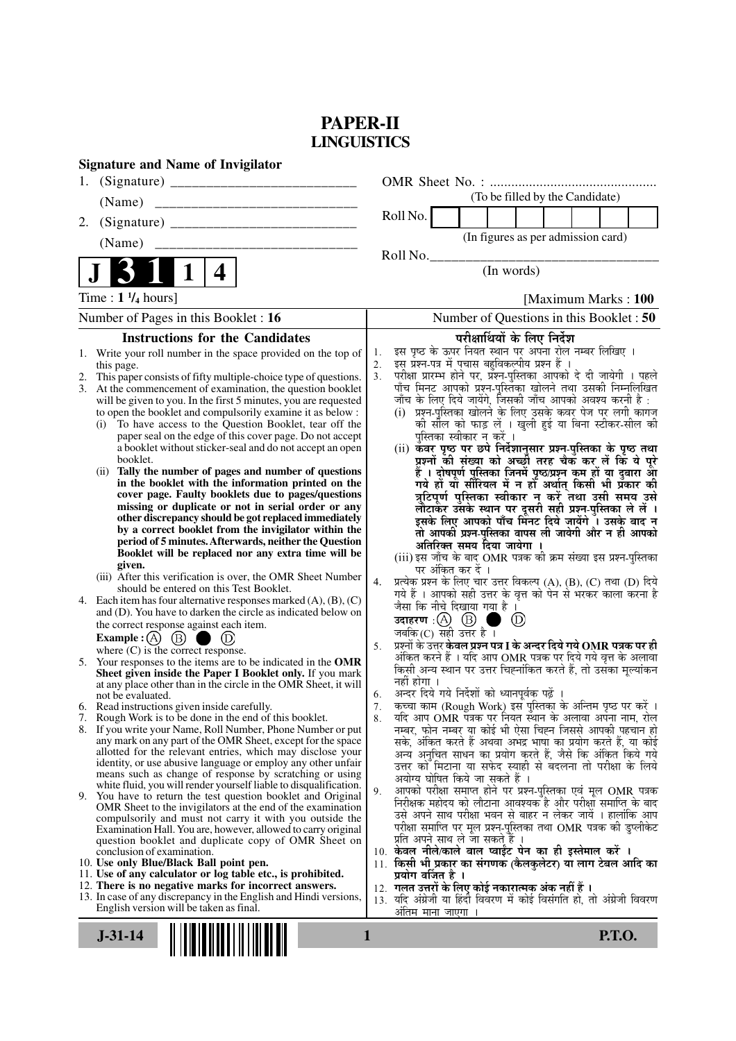## **PAPER-II LINGUISTICS**

| <b>Signature and Name of Invigilator</b>                                                                                                 |                                                                                                                                                   |
|------------------------------------------------------------------------------------------------------------------------------------------|---------------------------------------------------------------------------------------------------------------------------------------------------|
| 1.                                                                                                                                       |                                                                                                                                                   |
| (Name)                                                                                                                                   | (To be filled by the Candidate)                                                                                                                   |
| 2.                                                                                                                                       | Roll No.                                                                                                                                          |
|                                                                                                                                          | (In figures as per admission card)                                                                                                                |
|                                                                                                                                          | Roll No.                                                                                                                                          |
| $\mathbf 1$<br>4                                                                                                                         | (In words)                                                                                                                                        |
| Time : $1 \frac{1}{4}$ hours]                                                                                                            | [Maximum Marks: 100]                                                                                                                              |
| Number of Pages in this Booklet : 16                                                                                                     | Number of Questions in this Booklet: 50                                                                                                           |
| <b>Instructions for the Candidates</b>                                                                                                   | परीक्षार्थियों के लिए निर्देश                                                                                                                     |
| 1. Write your roll number in the space provided on the top of                                                                            | इस पृष्ठ के ऊपर नियत स्थान पर अपना रोल नम्बर लिखिए ।<br>1.<br>इस प्रश्न-पत्र में पचास बहुविकल्पीय प्रश्न हैं ।<br>2.                              |
| this page.<br>This paper consists of fifty multiple-choice type of questions.<br>2.                                                      | परीक्षा प्रारम्भ होने पर, प्रॅश्न-पुस्तिका आपको दे दी जायेगी । पहले<br>पाँच मिनट आपको प्रश्न-पुस्तिका खोलने तथा उसकी निम्नलिखित<br>3 <sub>1</sub> |
| At the commencement of examination, the question booklet<br>3.                                                                           |                                                                                                                                                   |
| will be given to you. In the first 5 minutes, you are requested<br>to open the booklet and compulsorily examine it as below :            | जाँच के लिए दिये जायेंगे, जिसकी जाँच आपको अवश्य करनी है :<br>(i) प्रश्न-पुरितका खोलने के लिए उसके कवर पेज पर लगी कागज                             |
| To have access to the Question Booklet, tear off the<br>(i)                                                                              | की सील को फाड़ लें । खुली हुई या बिना स्टीकर-सील की                                                                                               |
| paper seal on the edge of this cover page. Do not accept                                                                                 | पुस्तिका स्वीकार न करें ।                                                                                                                         |
| a booklet without sticker-seal and do not accept an open<br>booklet.                                                                     | (ii) कवर पृष्ठ पर छपे निर्देशानुसार प्रश्न-पुस्तिका के पृष्ठ तथा<br>प्रश्नों की संख्या को अच्छों तरह चैक कर लें कि ये पूरे                        |
| Tally the number of pages and number of questions<br>(ii)                                                                                | हैं । दोषपूर्ण पुस्तिका जिनमें पृष्ठ/प्रश्न कम हों या दुबारा आ<br>गये हो या सीरियल में न हो अर्थात् किसी भी प्रकार की                             |
| in the booklet with the information printed on the<br>cover page. Faulty booklets due to pages/questions                                 | त्रुटिपूर्ण पुस्तिका स्वीकार न करें तथा उसी समय उसे                                                                                               |
| missing or duplicate or not in serial order or any                                                                                       |                                                                                                                                                   |
| other discrepancy should be got replaced immediately                                                                                     | लौटाकर उसके स्थान पर दूसरी सही प्रश्न-पुस्तिका ले लें ।<br>इसके लिए आपको पाँच मिनट दिये जायेंगे । उसके बाद न                                      |
| by a correct booklet from the invigilator within the<br>period of 5 minutes. Afterwards, neither the Question                            | तो आपकी प्रश्न-पुस्तिका वापस ली जायेगी और न ही आपको<br>अतिरिक्त समय दिया जायेगा ।                                                                 |
| Booklet will be replaced nor any extra time will be                                                                                      | (iii) इस जाँच के बाद OMR पत्रक की क्रम संख्या इस प्रश्न-पुस्तिका                                                                                  |
| given.<br>(iii) After this verification is over, the OMR Sheet Number                                                                    | पर अंकित कर दें ।                                                                                                                                 |
| should be entered on this Test Booklet.                                                                                                  | प्रत्येक प्रश्न के लिए चार उत्तर विकल्प (A), (B), (C) तथा (D) दिये<br>4.<br>गये हैं । आपको सही उत्तर के वृत्त को पेन से भरकर काला करना है         |
| 4. Each item has four alternative responses marked $(A)$ , $(B)$ , $(C)$<br>and (D). You have to darken the circle as indicated below on | जैसा कि नीचे दिखाया गया है ।                                                                                                                      |
| the correct response against each item.                                                                                                  | उदाहरण $\cdot$ $\textcircled{A}$ $\textcircled{B}$ ।<br>$\circled{D}$                                                                             |
| Example : (A) $(B)$                                                                                                                      | जबकि $(C)$ सही उत्तर है।<br>प्रश्नों के उत्तर <b>केवल प्रश्न पत्र I के अन्दर दिये गये OMR पत्रक पर ही</b>                                         |
| where $(C)$ is the correct response.                                                                                                     | 5.<br>अंकित करने हैं । यदि आप OMR पत्रक पर दिये गये वृत्त के अलावा                                                                                |
| 5. Your responses to the items are to be indicated in the OMR<br>Sheet given inside the Paper I Booklet only. If you mark                | किसी अन्य स्थान पर उत्तर चिह्नांकित करते हैं, तो उसका मूल्यांकन                                                                                   |
| at any place other than in the circle in the OMR Sheet, it will                                                                          | नहीं होगा ।<br>अन्दर दिये गये निर्देशों को ध्यानपूर्वक पढ़ें<br>6.                                                                                |
| not be evaluated.<br>6. Read instructions given inside carefully.                                                                        | कच्चा काम (Rough Work) इस पुस्तिका के अन्तिम पृष्ठ पर करें ।<br>7.                                                                                |
| 7. Rough Work is to be done in the end of this booklet.                                                                                  | यदि आप OMR पत्रक पर नियत स्थान के अलावा अपना नाम, रोल<br>8.                                                                                       |
| 8. If you write your Name, Roll Number, Phone Number or put<br>any mark on any part of the OMR Sheet, except for the space               | नम्बर, फोन नम्बर या कोई भी ऐसा चिह्न जिससे आपकी पहचान हो<br>सके, अंकित करते हैं अथवा अभद्र भाषा का प्रयोग करते हैं, या कोई                        |
| allotted for the relevant entries, which may disclose your                                                                               | अन्य अनुचित साधन का प्रयोग करते हैं, जैसे कि अंकित किये गये                                                                                       |
| identity, or use abusive language or employ any other unfair<br>means such as change of response by scratching or using                  | उत्तर को मिटाना या सफेद स्याही से बदलना तो परीक्षा के लिये                                                                                        |
| white fluid, you will render yourself liable to disqualification.                                                                        | अयोग्य घोषित किये जा सकते हैं ।<br>आपको परीक्षा समाप्त होने पर प्रश्न-पुस्तिका एवं मूल OMR पत्रक<br>9.                                            |
| 9. You have to return the test question booklet and Original<br>OMR Sheet to the invigilators at the end of the examination              | निरीक्षक महोदय को लौटाना आवश्यक है और परीक्षा समाप्ति के बाद                                                                                      |
| compulsorily and must not carry it with you outside the                                                                                  | उसे अपने साथ परीक्षा भवन से बाहर न लेकर जायें । हालांकि आप<br>परीक्षा समाप्ति पर मूल प्रश्न-पुस्तिका तथा OMR पत्रक की डुप्लीकेट                   |
| Examination Hall. You are, however, allowed to carry original<br>question booklet and duplicate copy of OMR Sheet on                     | प्रति अपने साथ ले जा सकते हैं ।                                                                                                                   |
| conclusion of examination.                                                                                                               | 10. केवल नीले/काले बाल प्वाईंट पेन का ही इस्तेमाल करें ।                                                                                          |
| 10. Use only Blue/Black Ball point pen.<br>11. Use of any calculator or log table etc., is prohibited.                                   | 11. किसी भी प्रकार का संगणक (कैलकुलेटर) या लाग टेबल आदि का<br>प्रयोग वर्जित है ।                                                                  |
| 12. There is no negative marks for incorrect answers.                                                                                    | 12. गलत उत्तरों के लिए कोई नकारात्मक अंक नहीं हैं ।                                                                                               |
| 13. In case of any discrepancy in the English and Hindi versions,<br>English version will be taken as final.                             | 13. यदि अंग्रेजी या हिंदी विवरण में कोई विसंगति हो, तो अंग्रेजी विवरण                                                                             |
|                                                                                                                                          | अतिम माना जाएगा ।                                                                                                                                 |
| $J-31-14$<br>1                                                                                                                           | <b>P.T.O.</b>                                                                                                                                     |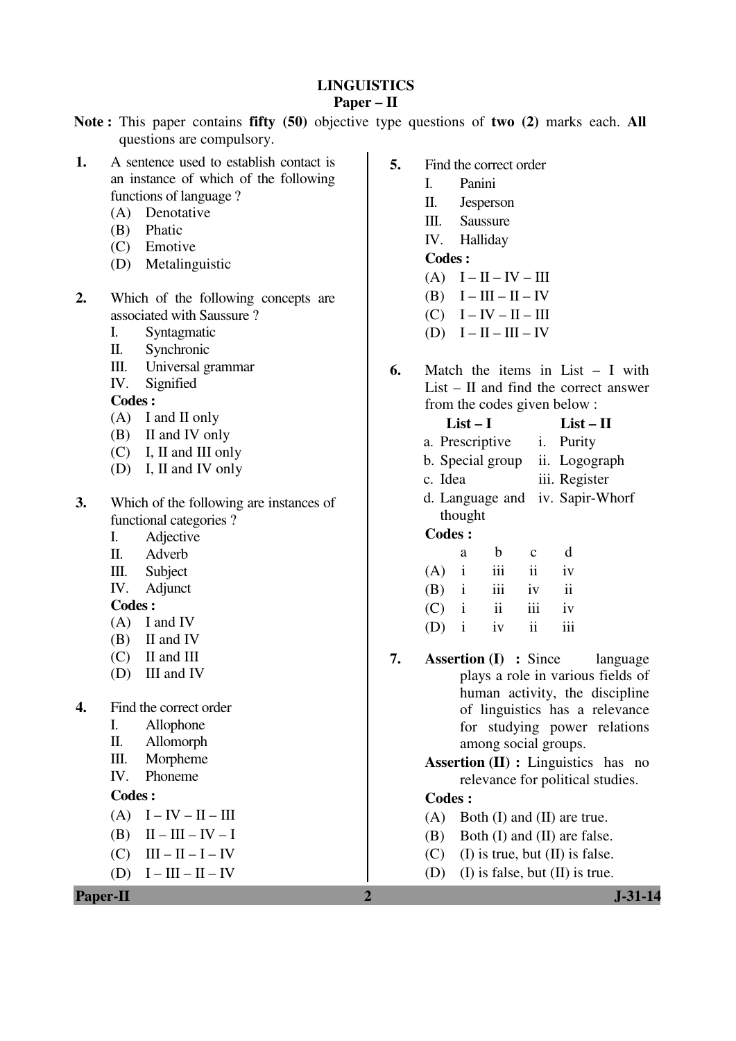## **LINGUISTICS**

## **Paper – II**

- **Note :** This paper contains **fifty (50)** objective type questions of **two (2)** marks each. **All** questions are compulsory.
- **1.** A sentence used to establish contact is an instance of which of the following functions of language ?
	- (A) Denotative
	- (B) Phatic
	- (C) Emotive
	- (D) Metalinguistic
- **2.** Which of the following concepts are associated with Saussure ?
	- I. Syntagmatic
	- II. Synchronic
	- III. Universal grammar
	- IV. Signified
	- **Codes :**
	- (A) I and II only
	- (B) II and IV only
	- (C) I, II and III only
	- (D) I, II and IV only
- **3.** Which of the following are instances of functional categories ?
	- I. Adjective
	- II. Adverb
	- III. Subject
	- IV. Adjunct

### **Codes :**

- (A) I and IV
- (B) II and IV
- (C) II and III
- (D) III and IV
- **4.** Find the correct order
	- I. Allophone
	- II. Allomorph
	- III. Morpheme
	- IV. Phoneme

### **Codes :**

- $(A)$  I IV II III
- (B)  $II III IV I$
- $(C)$  III II I IV
- (D)  $I III II IV$

**Paper-II 1.31-14** 

- **5.** Find the correct order
	- I. Panini
		- II. Jesperson
		- III. Saussure
		- IV. Halliday
	- **Codes :**
	- $(A)$  I II IV III
	- $(B)$  I III II IV
	- $(C)$  I IV II III
	- (D)  $I II III IV$
- **6.** Match the items in List I with List – II and find the correct answer from the codes given below :
- **List I List II**  a. Prescriptive i. Purity b. Special group ii. Logograph c. Idea iii. Register d. Language and iv. Sapir-Whorf thought  **Codes :**  a b c d  $(A)$  i iii ii iv (B) i iii iv ii  $(C)$  i ii iii iv
	- $(D)$  i iv ii iii
- **7. Assertion (I) :** Since language plays a role in various fields of human activity, the discipline of linguistics has a relevance for studying power relations among social groups.

 **Assertion (II) :** Linguistics has no relevance for political studies.

- (A) Both (I) and (II) are true.
- (B) Both (I) and (II) are false.
- (C) (I) is true, but  $(II)$  is false.
- (D) (I) is false, but (II) is true.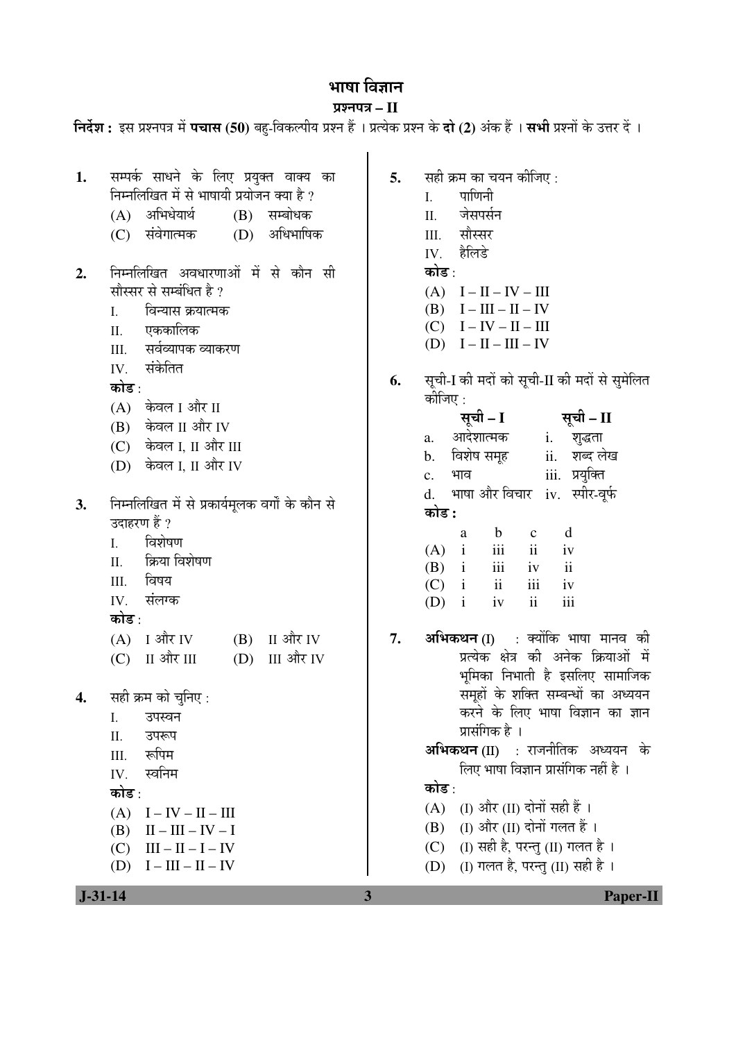# भाषा विज्ञान

## ¯ÖÏ¿®Ö¯Ö¡Ö **– II**

|                                                                                                                                                                                                                                                                                                    | निर्देश : इस प्रश्नपत्र में <b>पचास (50</b> ) बहु-विकल्पीय प्रश्न हैं । प्रत्येक प्रश्न के <b>दो (2</b> ) अंक हैं । <b>सभी</b> प्रश्नों के उत्तर दें ।                                                                                                                                                                                                                                                                                                                                |
|----------------------------------------------------------------------------------------------------------------------------------------------------------------------------------------------------------------------------------------------------------------------------------------------------|---------------------------------------------------------------------------------------------------------------------------------------------------------------------------------------------------------------------------------------------------------------------------------------------------------------------------------------------------------------------------------------------------------------------------------------------------------------------------------------|
| सम्पर्क साधने के लिए प्रयुक्त वाक्य का<br>1.<br>निम्नलिखित में से भाषायी प्रयोजन क्या है ?<br>(A) अभिधेयार्थ<br>(B) सम्बोधक<br>अधिभाषिक<br>संवेगात्मक<br>(D)<br>(C)                                                                                                                                | सही क्रम का चयन कीजिए :<br>5.<br>पाणिनी<br>I.<br>जेसपर्सन<br>II.<br>सौस्सर<br>III.<br>हैलिडे<br>IV.                                                                                                                                                                                                                                                                                                                                                                                   |
| निम्नलिखित अवधारणाओं में से कौन सी<br>2.<br>सौस्सर से सम्बंधित है ?<br>विन्यास क्रयात्मक<br>I.<br>एककालिक<br>Π.<br>सर्वव्यापक व्याकरण<br>III.<br>संकेतित<br>IV.<br>कोड :<br>(A) केवल I और II<br>(B) केवल II और IV<br>(C) केवल I, II और III<br>(D) केवल I, II और IV                                 | कोड :<br>$(A)$ $I - II - IV - III$<br>(B) $I - III - II - IV$<br>$(C)$ $I - IV - II - III$<br>$(D)$ $I - II - III - IV$<br>सूची-I की मदों को सूची-II की मदों से सुमेलित<br>6.<br>कीजिए :<br>सूची – I<br>सूची – II<br>a. आदेशात्मक<br>i. शुद्धता<br>ii. शब्द लेख<br>विशेष समूह<br>$\mathbf b$ .<br>iii. प्रयुक्ति<br>भाव<br>c.                                                                                                                                                         |
| निम्नलिखित में से प्रकार्यमूलक वर्गों के कौन से<br>3.<br>उदाहरण हैं ?<br>विशेषण<br>I.<br>क्रिया विशेषण<br>П.<br>विषय<br>III.<br>संलग्क<br>IV.<br>कोड :                                                                                                                                             | भाषा और विचार iv. स्पीर-वूर्फ<br>d.<br>कोड :<br>d<br>$\mathbf b$<br>$\mathbf{C}$<br>a<br>$\rm iii$<br>$(A)$ i<br>ii<br>iv<br>$\,$ iii<br>$(B)$ i<br>ii<br>iv<br>$\overline{\mathbf{u}}$<br>iii<br>$(C)$ i<br>iv<br>$\ddot{\rm ii}$<br>iii<br>$(D)$ i<br>iv                                                                                                                                                                                                                            |
| ा और IV<br>II और IV<br>(A)<br>(B)<br>(C) II और III<br>III और IV<br>(D)<br>सही क्रम को चुनिए:<br>4.<br>उपस्वन<br>Ι.<br>Π.<br>उपरूप<br>रूपिम<br>III.<br>स्वनिम<br>IV.<br>कोड :<br>(A)<br>I – IV – II – III<br>(B)<br>$II - III - IV - I$<br>$III - II - I - IV$<br>(C)<br>$I - III - II - IV$<br>(D) | <b>अभिकथन (I)</b> : क्योंकि भाषा मानव की<br>7.<br>प्रत्येक क्षेत्र की अनेक क्रियाओं में<br>भूमिका निभाती है इसलिए सामाजिक<br>समूहों के शक्ति सम्बन्धों का अध्ययन<br>करने के लिए भाषा विज्ञान का ज्ञान<br>प्रासंगिक है ।<br><b>अभिकथन (II)</b> : राजनीतिक अध्ययन के<br>लिए भाषा विज्ञान प्रासंगिक नहीं है ।<br>कोड :<br>(I) और (II) दोनों सही हैं ।<br>(A)<br>(I) और (II) दोनों गलत हैं ।<br>(B)<br>(I) सही है, परन्तु (II) गलत है ।<br>(C)<br>(I) गलत है, परन्तु (II) सही है ।<br>(D) |
| $J-31-14$                                                                                                                                                                                                                                                                                          | 3<br>Paper-II                                                                                                                                                                                                                                                                                                                                                                                                                                                                         |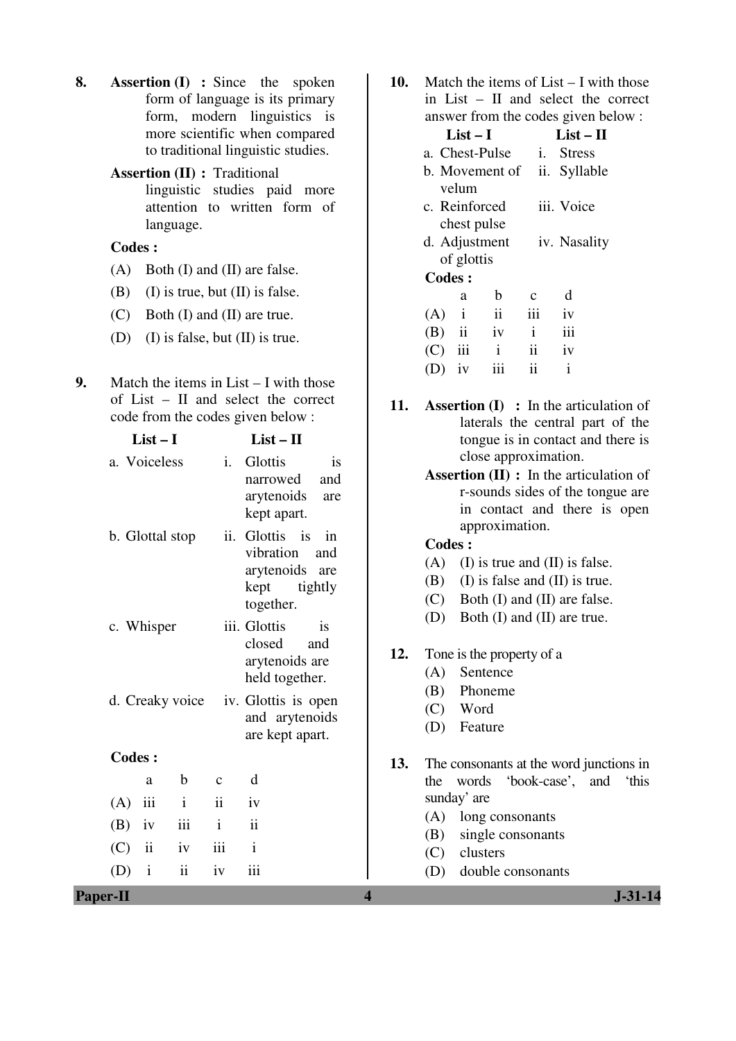- **8. Assertion (I) :** Since the spoken form of language is its primary form, modern linguistics is more scientific when compared to traditional linguistic studies.
	- **Assertion (II) :** Traditional linguistic studies paid more attention to written form of language.

- (A) Both (I) and (II) are false.
- (B) (I) is true, but  $(II)$  is false.
- (C) Both (I) and (II) are true.
- (D) (I) is false, but (II) is true.
- **9.** Match the items in List I with those of List – II and select the correct code from the codes given below :

| $List-I$                      | $List - II$                                                                                                                         | tongue is in contact and there is                                                                                                                        |
|-------------------------------|-------------------------------------------------------------------------------------------------------------------------------------|----------------------------------------------------------------------------------------------------------------------------------------------------------|
| a. Voiceless                  | $\mathbf{i}$ .<br>Glottis<br>is<br>and<br>narrowed<br>arytenoids<br>are<br>kept apart.                                              | close approximation.<br><b>Assertion (II)</b> : In the articulation of<br>r-sounds sides of the tongue are<br>in contact and there is open               |
| b. Glottal stop               | ii. Glottis is<br>in<br>vibration<br>and<br>arytenoids are<br>tightly<br>kept<br>together.                                          | approximation.<br><b>Codes:</b><br>(A)<br>(I) is true and (II) is false.<br>(I) is false and (II) is true.<br>(B)<br>Both (I) and (II) are false.<br>(C) |
| c. Whisper<br>d. Creaky voice | iii. Glottis<br>is<br>closed<br>and<br>arytenoids are<br>held together.<br>iv. Glottis is open<br>and arytenoids<br>are kept apart. | (D)<br>Both (I) and (II) are true.<br>12.<br>Tone is the property of a<br>(A)<br>Sentence<br>(B)<br>Phoneme<br>Word<br>(C)<br>(D)<br>Feature             |
| <b>Codes:</b>                 |                                                                                                                                     | 13.<br>The consonants at the word junctions in                                                                                                           |
| $\mathbf b$<br>a              | d<br>$\mathbf{C}$                                                                                                                   | 'book-case',<br>words<br>'this<br>the<br>and                                                                                                             |
| iii<br>$\mathbf{i}$<br>(A)    | $\ddot{\rm n}$<br>iv                                                                                                                | sunday' are                                                                                                                                              |
| iii<br>(B)<br>iv              | $\overline{\textbf{ii}}$<br>$\mathbf{i}$                                                                                            | (A)<br>long consonants<br>(B)<br>single consonants                                                                                                       |
| $\ddot{\rm n}$<br>(C)<br>iv   | iii<br>$\mathbf{i}$                                                                                                                 | clusters<br>(C)                                                                                                                                          |
| ii<br>(D)<br>$\mathbf{i}$     | iii<br>iv                                                                                                                           | double consonants<br>(D)                                                                                                                                 |
| <b>Paper-II</b>               |                                                                                                                                     | $J - 31 - 14$<br>$\overline{\mathbf{4}}$                                                                                                                 |

**10.** Match the items of List – I with those in List – II and select the correct answer from the codes given below :

|               | answei trom the couls given be |                |                |               |  |  |  |
|---------------|--------------------------------|----------------|----------------|---------------|--|--|--|
|               | $List-I$                       |                | $List - II$    |               |  |  |  |
|               |                                | a. Chest-Pulse | $\mathbf{i}$ . | <b>Stress</b> |  |  |  |
|               |                                | b. Movement of |                | ii. Syllable  |  |  |  |
|               | velum                          |                |                |               |  |  |  |
|               |                                | c. Reinforced  |                | iii. Voice    |  |  |  |
|               |                                | chest pulse    |                |               |  |  |  |
| d. Adjustment |                                |                | iv. Nasality   |               |  |  |  |
|               | of glottis                     |                |                |               |  |  |  |
| <b>Codes:</b> |                                |                |                |               |  |  |  |
|               | a                              | b              | c              | d             |  |  |  |
| (A)           | $\mathbf{i}$                   | $\ddot{\rm n}$ | iii            | iv            |  |  |  |
| $(B)$ ii      |                                | iv             | $\mathbf{i}$   | iii           |  |  |  |
| (C)           | iii                            | $\mathbf{i}$   | $\ddot{\rm n}$ | iv            |  |  |  |
| (D)           | iv                             | iii            | ii             | $\mathbf{i}$  |  |  |  |

- **11. Assertion (I) :** In the articulation of laterals the central part of the tongue is in contact and there is close approximation.
	- **Assertion (II) :** In the articulation of r-sounds sides of the tongue are in contact and there is open approximation.

- (A) (I) is true and (II) is false.
- (B) (I) is false and (II) is true.
- (C) Both (I) and (II) are false.
- (D) Both (I) and (II) are true.
- **12.** Tone is the property of a
	- (A) Sentence
	- (B) Phoneme
	- (C) Word
	- (D) Feature
- **13.** The consonants at the word junctions in the words 'book-case', and 'this sunday' are
	- (A) long consonants
	- (B) single consonants
	- (C) clusters
	- (D) double consonants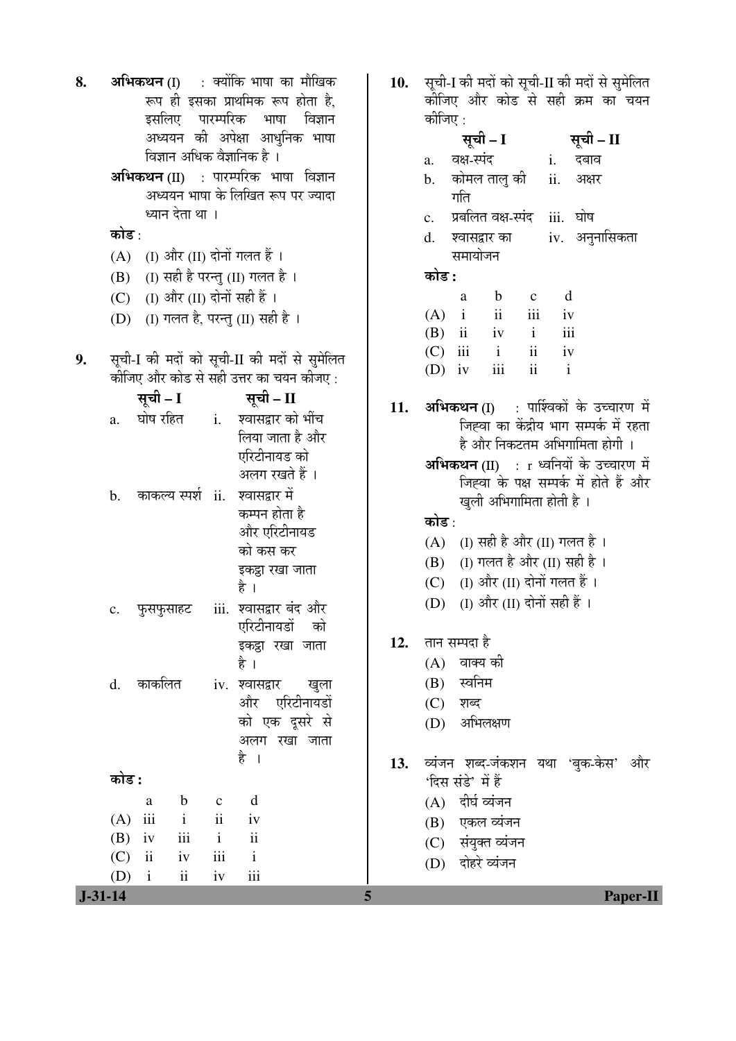| 8. | कोड :                             | इसलिए पारम्परिक भाषा<br>विज्ञान अधिक वैज्ञानिक है ।<br>ध्यान देता था ।                                                         |                                                                           | <b>अभिकथन (I)    : क्योंकि भाषा का मौखिक</b><br>रूप ही इसका प्राथमिक रूप होता है,<br>विज्ञान<br>अध्ययन की अपेक्षा आधुनिक भाषा<br>अभिकथन (II) : पारम्परिक भाषा विज्ञान<br>अध्ययन भाषा के लिखित रूप पर ज्यादा | 10. | सूची-I की मदों को सूची-II की मदों से सुमेलित<br>कीजिए और कोड से सही क्रम का चयन<br>कोजिए :<br>सूची – I<br>सूची – II<br>वक्ष-स्पंद<br>i.<br>दबाव<br>a.<br>कोमल तालु की<br>ii.<br>अक्षर<br>b.<br>गति<br>प्रबलित वक्ष-स्पंद<br>iii. घोष<br>$\mathbf{c}$ .<br>iv. अनुनासिकता<br>श्वासद्वार का<br>d. |
|----|-----------------------------------|--------------------------------------------------------------------------------------------------------------------------------|---------------------------------------------------------------------------|-------------------------------------------------------------------------------------------------------------------------------------------------------------------------------------------------------------|-----|-------------------------------------------------------------------------------------------------------------------------------------------------------------------------------------------------------------------------------------------------------------------------------------------------|
|    | (A)<br>(B)<br>(C)<br>(D)          | (I) और (II) दोनों गलत हैं।<br>(I) और (II) दोनों सही हैं ।                                                                      |                                                                           | (I) सही है परन्तु (II) गलत है ।<br>(I) गलत है, परन्तु (II) सही है ।                                                                                                                                         |     | समायोजन<br>कोड :<br>d<br>$\mathbf b$<br>a<br>$\mathbf{c}$<br>ii<br>iii<br>$(A)$ i<br>iv<br>iii<br>$(B)$ ii<br>$\mathbf{i}$<br>iv                                                                                                                                                                |
| 9. | a.                                | सूची – I                                                                                                                       |                                                                           | सूची-I की मदों को सूची-II की मदों से सुमेलित<br>कीजिए और कोड से सही उत्तर का चयन कीजए :<br>सूची – II<br>घोष रहित         i.      श्वासद्वार को भींच                                                         | 11. | $\overline{\mathbf{u}}$<br>$(C)$ iii<br>$\mathbf{i}$<br>iv<br>ii<br>$\mathbf{i}$<br>iii<br>iv<br>(D)<br><b>अभिकथन (I)</b> : पार्श्विकों के उच्चारण में<br>जिह्वा का केंद्रीय भाग सम्पर्क में रहता                                                                                               |
|    | $\mathbf b$ .                     | काकल्य स्पर्श ii. श्वासद्वार में                                                                                               |                                                                           | लिया जाता है और<br>एरिटीनायड को<br>अलग रखते हैं ।<br>कम्पन होता है<br>और एरिटीनायड<br>को कस कर<br>इकट्ठा रखा जाता<br>है ।                                                                                   |     | है और निकटतम अभिगामिता होगी ।<br>अभिकथन (II) : r ध्वनियों के उच्चारण में<br>जिह्वा के पक्ष सम्पर्क में होते हैं और<br>खुली अभिगामिता होती है ।<br>कोड :<br>(I) सही है और (II) गलत है ।<br>(A)<br>(I) गलत है और (II) सही है ।<br>(B)<br>(C) (I) और (II) दोनों गलत हैं ।                          |
|    | $\mathbf{c}$ .                    | फुसफुसाहट                                                                                                                      |                                                                           | iii. श्वासद्वार बंद और<br>एरिटीनायडों को<br>इकट्ठा रखा जाता<br>है ।                                                                                                                                         | 12. | (I) और (II) दोनों सही हैं ।<br>(D)<br>तान सम्पदा है<br>$(A)$ वाक्य की                                                                                                                                                                                                                           |
|    | d.                                | काकलित                                                                                                                         |                                                                           | iv. श्वासद्वार<br>खुला<br>और एरिटीनायडों<br>को एक दूसरे से<br>अलग रखा जाता                                                                                                                                  |     | (B) स्वनिम<br>(C)<br>शब्द<br>अभिलक्षण<br>(D)                                                                                                                                                                                                                                                    |
|    | कोड :<br>(A)<br>(B)<br>(C)<br>(D) | $\mathbf b$<br>$\rm{a}$<br>iii<br>$\mathbf{i}$<br>iii<br>iv<br>$\mathbf{ii}$<br>iv<br>$\overline{\textbf{ii}}$<br>$\mathbf{i}$ | $\mathbf c$<br>$\overline{\mathbf{ii}}$<br>$\mathbf{i}$<br>$\,$ iii<br>iv | है ।<br>d<br>iv<br>$\mathbf{ii}$<br>$\mathbf{i}$<br>iii                                                                                                                                                     | 13. | व्यंजन शब्द-जंकशन यथा 'बुक-केस' और<br>'दिस संडे' में हैं<br>(A) दीर्घ व्यंजन<br>(B) एकल व्यंजन<br>(C) संयुक्त व्यंजन<br>(D) दोहरे व्यंजन                                                                                                                                                        |
|    | $J-31-14$                         |                                                                                                                                |                                                                           |                                                                                                                                                                                                             | 5   | <b>Paper-II</b>                                                                                                                                                                                                                                                                                 |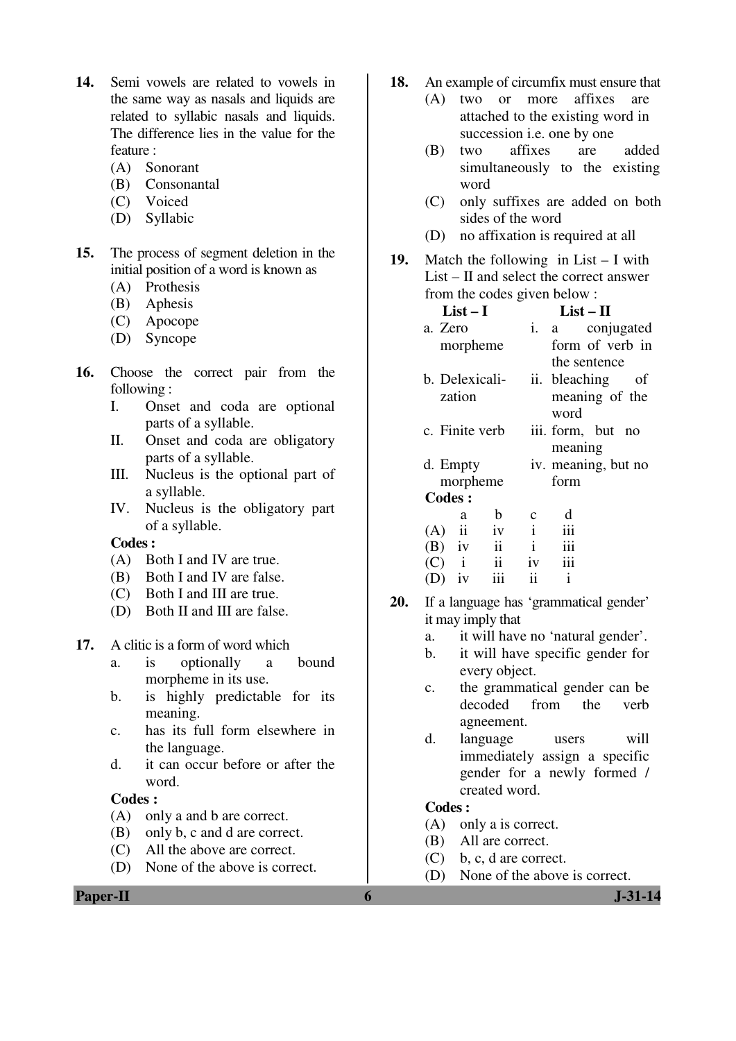- **14.** Semi vowels are related to vowels in the same way as nasals and liquids are related to syllabic nasals and liquids. The difference lies in the value for the feature :
	- (A) Sonorant
	- (B) Consonantal
	- (C) Voiced
	- (D) Syllabic
- **15.** The process of segment deletion in the initial position of a word is known as
	- (A) Prothesis
	- (B) Aphesis
	- (C) Apocope
	- (D) Syncope
- **16.** Choose the correct pair from the following :
	- I. Onset and coda are optional parts of a syllable.
	- II. Onset and coda are obligatory parts of a syllable.
	- III. Nucleus is the optional part of a syllable.
	- IV. Nucleus is the obligatory part of a syllable.

- (A) Both I and IV are true.
- (B) Both I and IV are false.
- (C) Both I and III are true.
- (D) Both II and III are false.
- **17.** A clitic is a form of word which
	- a. is optionally a bound morpheme in its use.
	- b. is highly predictable for its meaning.
	- c. has its full form elsewhere in the language.
	- d. it can occur before or after the word.

#### **Codes :**

- (A) only a and b are correct.
- (B) only b, c and d are correct.
- (C) All the above are correct.
- (D) None of the above is correct.

**Paper-II 6 J-31-14** 

- **18.** An example of circumfix must ensure that
	- (A) two or more affixes are attached to the existing word in succession i.e. one by one
	- (B) two affixes are added simultaneously to the existing word
	- (C) only suffixes are added on both sides of the word
	- (D) no affixation is required at all
- **19.** Match the following in List I with List – II and select the correct answer from the codes given below :

| $List-I$       |                         |              | $List - II$         |  |  |  |
|----------------|-------------------------|--------------|---------------------|--|--|--|
| a. Zero        |                         |              | i. a conjugated     |  |  |  |
| morpheme       |                         |              | form of verb in     |  |  |  |
|                |                         |              | the sentence        |  |  |  |
| b. Delexicali- |                         |              | ii. bleaching of    |  |  |  |
| zation         |                         |              | meaning of the      |  |  |  |
|                |                         |              | word                |  |  |  |
| c. Finite verb |                         |              | iii. form, but no   |  |  |  |
|                |                         |              | meaning             |  |  |  |
| d. Empty       |                         |              | iv. meaning, but no |  |  |  |
| morpheme       |                         |              | form                |  |  |  |
| <b>Codes:</b>  |                         |              |                     |  |  |  |
| a              | b                       |              | d                   |  |  |  |
| $(A)$ ii       | iv                      | $\mathbf{i}$ | iii                 |  |  |  |
| $(B)$ iv       | $\ddot{\text{ii}}$      | $\mathbf{i}$ | iii                 |  |  |  |
| $(C)$ i        | $\overline{\mathbf{u}}$ | iv           | iii                 |  |  |  |
| iv<br>(D)      | iii                     | ii           | $\mathbf{1}$        |  |  |  |

- **20.** If a language has 'grammatical gender' it may imply that
	- a. it will have no 'natural gender'.
	- b. it will have specific gender for every object.
	- c. the grammatical gender can be decoded from the verb agneement.
	- d. language users will immediately assign a specific gender for a newly formed / created word.

- (A) only a is correct.
- (B) All are correct.
- (C) b, c, d are correct.
- (D) None of the above is correct.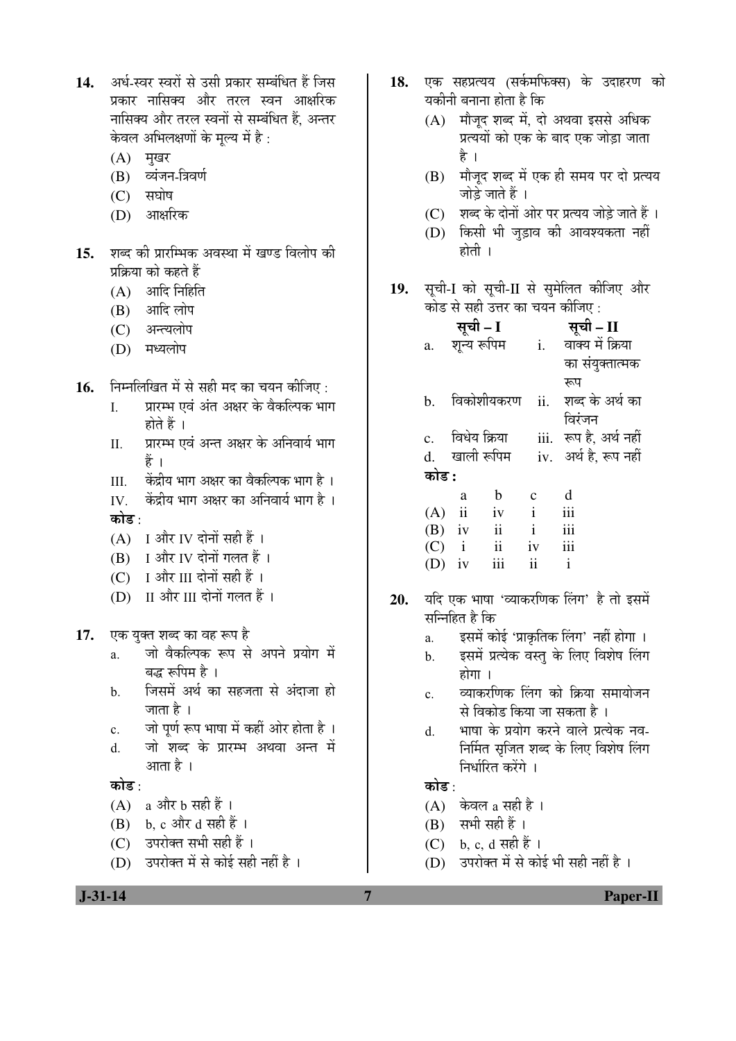14. अर्ध-स्वर स्वरों से उसी प्रकार सम्बंधित हैं जिस प्रकार नासिक्य और तरल स्वन आक्षरिक नासिक्य और तरल स्वनों से सम्बंधित हैं. अन्तर केवल अभिलक्षणों के मूल्य में है:

- $(A)$  मृखर
- (B) व्यंजन-त्रिवर्ण
- $(C)$  सघोष
- (D) आक्षरिक
- 15. शब्द की प्रारम्भिक अवस्था में खण्ड विलोप की प्रक्रिया को कहते हैं
	- $(A)$  आदि निर्हिति
	- (B) आदि लोप
	- (C) अन्त्यलोप
	- $(D)$  मध्यलोप
- 1**6.** निम्नलिखित में से सही मद का चयन कीजिए :
	- I. प्रारम्भ एवं अंत अक्षर के वैकल्पिक भाग होते हैं ।
	- II. प्रारम्भ एवं अन्त अक्षर के अनिवार्य भाग हें ।
	- III. ) केंद्रीय भाग अक्षर का वैकल्पिक भाग है)।
	- IV. केंद्रीय भाग अक्षर का अनिवार्य भाग है । कोड $\cdot$
	- (A) I और IV दोनों सही हैं ।
	- $(B)$  I और IV दोनों गलत हैं ।
	- (C) I और III दोनों सही हैं ।
	- (D) II और III दोनों गलत हैं ।
- 17. एक युक्त शब्द का वह रूप है
	- a. जो वैकल्पिक रूप से अपने प्रयोग में बद्ध रूपिम है ।
	- b. जिसमें अर्थ का सहजता से अंदाजा हो जाता है ।
	- c. जो पूर्ण रूप भाषा में कहीं ओर होता है ।
	- d. जो शब्द के प्रारम्भ अथवा अन्त में आता है ।

## कोड :

- $(A)$  a और b सही हैं।
- $(B)$  b, c और d सही हैं ।
- (C) उपरोक्त सभी सही हैं ।
- $(D)$   $\bar{z}$ परोक्त में से कोई सही नहीं है ।
- 18. एक सहप्रत्यय (सर्कमफिक्स) के उदाहरण को यकीनी बनाना होता है कि
	- $(A)$  मौजुद शब्द में, दो अथवा इससे अधिक प्रत्ययों को एक के बाद एक जोड़ा जाता है ।
	- (B) मौजूद शब्द में एक ही समय पर दो प्रत्यय जोडे जाते हैं ।
	- (C) शब्द के दोनों ओर पर प्रत्यय जोड़े जाते हैं ।
	- (D) किसी भी जुड़ाव की आवश्यकता नहीं होती ।
- 19. सूची-I को सूची-II से सुमेलित कीजिए और कोड से सही उत्तर का चयन कीजिए :

|                | सूची - I                |            |              | सूची - II             |
|----------------|-------------------------|------------|--------------|-----------------------|
| a.             | शन्य रूपिम              |            | i.           | वाक्य में क्रिया      |
|                |                         |            |              | का संयुक्तात्मक       |
|                |                         |            |              | रूप                   |
| b.             |                         | विकोशीयकरण | ii.          | शब्द के अर्थ का       |
|                |                         |            |              | विरंजन                |
| $\mathbf{c}$ . | विधेय क्रिया            |            | iii.         | रूप है. अर्थ नहीं     |
|                | d. खाली रूपिम           |            |              | iv. अर्थ है, रूप नहीं |
| कोड :          |                         |            |              |                       |
|                | a                       | b          | $\mathbf c$  | d                     |
| (A)            | $\overline{\mathbf{u}}$ | iv         | $\mathbf{i}$ | iii                   |
| $(B)$ iv       |                         | ii         | $\mathbf{i}$ | iii                   |
| $(C)$ i        |                         | $\rm ii$   | iv           | iii                   |
| (D)            | iv                      | iii        | ii           | $\mathbf{i}$          |
|                |                         |            |              |                       |

- 20. यदि एक भाषा 'व्याकरणिक लिंग' है तो इसमें सन्निहित है कि
	- a. इसमें कोई 'प्राकृतिक लिंग' नहीं होगा ।
	- b. इसमें प्रत्येक वस्त के लिए विशेष लिंग  $\overline{\text{g}}$ ोगा ।
	- c. व्याकरणिक लिंग को क्रिया समायोजन से विकोड किया जा सकता है ।
	- d. भाषा के प्रयोग करने वाले प्रत्येक नव-निर्मित सृजित शब्द के लिए विशेष लिंग निर्धारित करेंगे ।

## कोड :

- $(A)$  केवल a सही है।
- $(B)$  सभी सही हैं।
- $(C)$  b, c, d सही हैं ।
- (D)  $\overline{3}$ परोक्त में से कोई भी सही नहीं है ।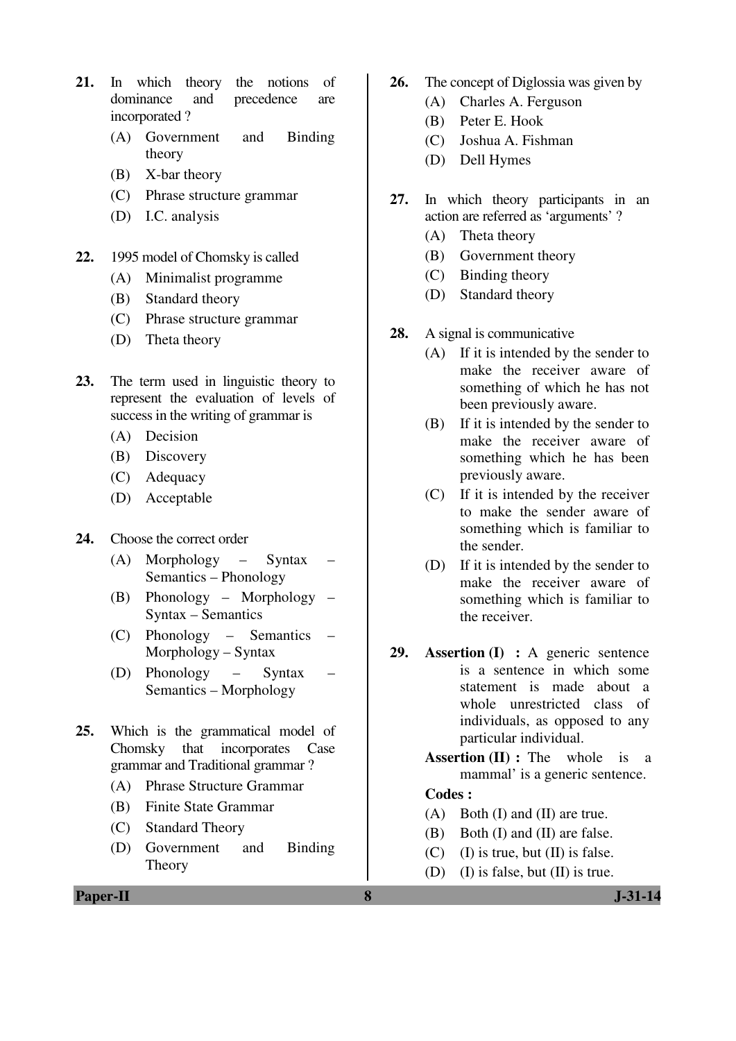- **21.** In which theory the notions of dominance and precedence are incorporated ?
	- (A) Government and Binding theory
	- (B) X-bar theory
	- (C) Phrase structure grammar
	- (D) I.C. analysis
- **22.** 1995 model of Chomsky is called
	- (A) Minimalist programme
	- (B) Standard theory
	- (C) Phrase structure grammar
	- (D) Theta theory
- **23.** The term used in linguistic theory to represent the evaluation of levels of success in the writing of grammar is
	- (A) Decision
	- (B) Discovery
	- (C) Adequacy
	- (D) Acceptable
- **24.** Choose the correct order
	- (A) Morphology Syntax Semantics – Phonology
	- (B) Phonology Morphology Syntax – Semantics
	- (C) Phonology Semantics Morphology – Syntax
	- (D) Phonology Syntax Semantics – Morphology
- **25.** Which is the grammatical model of Chomsky that incorporates Case grammar and Traditional grammar ?
	- (A) Phrase Structure Grammar
	- (B) Finite State Grammar
	- (C) Standard Theory
	- (D) Government and Binding Theory
- **26.** The concept of Diglossia was given by
	- (A) Charles A. Ferguson
	- (B) Peter E. Hook
	- (C) Joshua A. Fishman
	- (D) Dell Hymes
- **27.** In which theory participants in an action are referred as 'arguments' ?
	- (A) Theta theory
	- (B) Government theory
	- (C) Binding theory
	- (D) Standard theory
- **28.** A signal is communicative
	- (A) If it is intended by the sender to make the receiver aware of something of which he has not been previously aware.
	- (B) If it is intended by the sender to make the receiver aware of something which he has been previously aware.
	- (C) If it is intended by the receiver to make the sender aware of something which is familiar to the sender.
	- (D) If it is intended by the sender to make the receiver aware of something which is familiar to the receiver.
- **29. Assertion (I) :** A generic sentence is a sentence in which some statement is made about a whole unrestricted class of individuals, as opposed to any particular individual.
	- **Assertion (II) :** The whole is a mammal' is a generic sentence.

- (A) Both (I) and (II) are true.
- (B) Both (I) and (II) are false.
- (C) (I) is true, but  $(II)$  is false.
- (D) (I) is false, but (II) is true.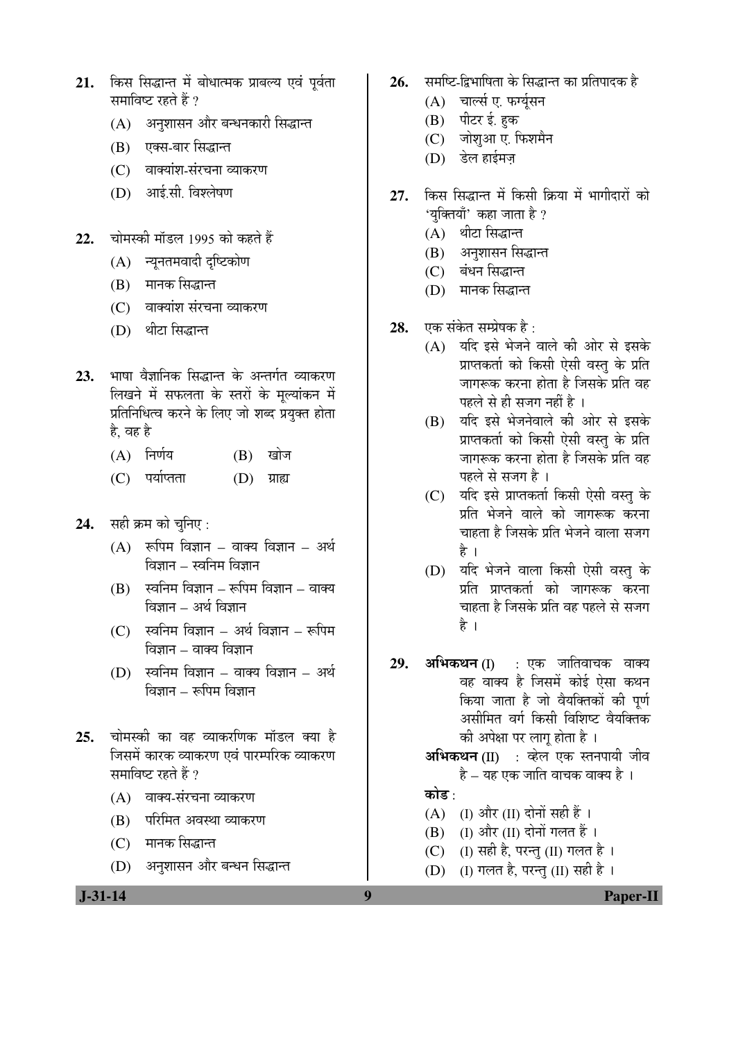- 21. किस सिद्धान्त में बोधात्मक प्राबल्य एवं पर्वता समाविष्ट रहते हैं ?
	- (A) जिज्ञासन और बन्धनकारी सिद्धान्त
	- (B) एक्स-बार सिद्धान्त
	- (C) वाक्यांश-संरचना व्याकरण
	- (D) आई.सी. विश्लेषण
- 22. चोमस्की मॉडल 1995 को कहते हैं
	- $(A)$  न्यूनतमवादी दृष्टिकोण
	- (B) मानक सिद्धान्त
	- (C) वाक्यांश संरचना व्याकरण
	- (D) थीटा सिद्धान्त
- 23. भाषा वैज्ञानिक सिद्धान्त के अन्तर्गत व्याकरण लिखने में सफलता के स्तरों के मूल्यांकन में प्रतिनिधित्व करने के लिए जो शब्द प्रयुक्त होता है. वह है
	- $(A)$  निर्णय  $(B)$  खोज
	- (C) पर्याप्तता (D) ग्राह्य
- **24.** सही क्रम को चुनिए:
	- $(A)$  रूपिम विज्ञान वाक्य विज्ञान अर्थ विज्ञान – स्वनिम विज्ञान
	- $(B)$  स्वनिम विज्ञान रूपिम विज्ञान वाक्य विज्ञान – अर्थ विज्ञान
	- $(C)$  स्वनिम विज्ञान अर्थ विज्ञान रूपिम  $\widehat{\mathsf{q}}$ ज्ञान – वाक्य विज्ञान
	- $(D)$  स्वनिम विज्ञान वाक्य विज्ञान अर्थ  $\widehat{\mathsf{b}}$ ञान – रूपिम विज्ञान
- 25. चोमस्की का वह व्याकरणिक मॉडल क्या है जिसमें कारक व्याकरण एवं पारम्परिक व्याकरण समाविष्ट रहते हैं ?
	- $(A)$  वाक्य-संरचना व्याकरण
	- (B) परिमित अवस्था व्याकरण
	- (C) मानक सिद्धान्त
	- (D) अनुशासन और बन्धन सिद्धान्त
- 26. समष्टि-द्विभाषिता के सिद्धान्त का प्रतिपादक है
	- $(A)$  चार्ल्स ए. फर्ग्युसन
	- (B) पीटर ई. हुक
	- (C) जोशुआ ए. फिशमैन
	- $(D)$  डेल हाईमज
- 27. किस सिद्धान्त में किसी क्रिया में भागीदारों को 'यक्तियाँ' कहा जाता है ?
	- (A) थीटा सिद्धान्त
	- (B) अनुशासन सिद्धान्त
	- (C) बंधन सिद्धान्त
	- (D) मानक सिद्धान्त
- **28.** एक संकेत सम्प्रेषक है :
	- (A) यदि इसे भेजने वाले की ओर से इसके प्राप्तकर्ता को किसी ऐसी वस्तु के प्रति जागरूक करना होता है जिसके प्रति वह पहले से ही सजग नहीं है ।
	- (B) यदि इसे भेजनेवाले की ओर से इसके प्राप्तकर्ता को किसी ऐसी वस्तु के प्रति जागरूक करना होता है जिसके प्रति वह पहले से सजग है ।
	- (C) यदि इसे प्राप्तकर्ता किसी ऐसी वस्तु के <u>प्रति भेजने वाले को जागरूक करना</u> चाहता है जिसके प्रति भेजने वाला सजग है ।
	- (D) यदि भेजने वाला किसी ऐसी वस्तू के प्रति प्राप्तकर्ता को जागरूक करना चाहता है जिसके प्रति वह पहले से सजग है ।
- 29. अभिकथन (I) : एक जातिवाचक वाक्य वह वाक्य है जिसमें कोई ऐसा कथन किया जाता है जो वैयक्तिकों की पूर्ण असीमित वर्ग किसी विशिष्ट वैयक्तिक की अपेक्षा पर लागू होता है ।
	- अभिकथन (II) : व्हेल एक स्तनपायी जीव है – यह एक जाति वाचक वाक्य है ।

## कोड़ $\cdot$

- (A)  $(II)$  और  $(II)$  दोनों सही हैं ।
- $(B)$  (I) और (II) दोनों गलत हैं।
- (C) (I) सही है, परन्तु (II) गलत है।
- (D) (I) गलत है, परन्तु (II) सही है)।

 **J-31-14 9 Paper-II**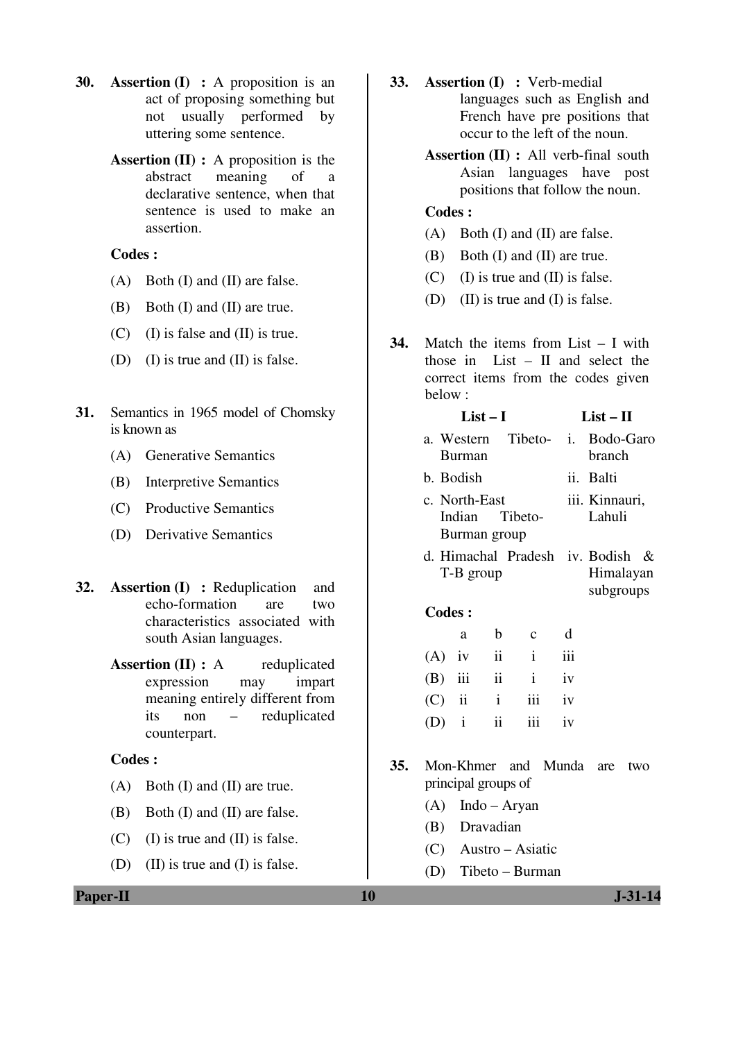- **30. Assertion (I) :** A proposition is an act of proposing something but not usually performed by uttering some sentence.
	- **Assertion (II) :** A proposition is the abstract meaning of a declarative sentence, when that sentence is used to make an assertion.

- (A) Both (I) and (II) are false.
- (B) Both (I) and (II) are true.
- (C) (I) is false and (II) is true.
- (D) (I) is true and (II) is false.
- **31.** Semantics in 1965 model of Chomsky is known as
	- (A) Generative Semantics
	- (B) Interpretive Semantics
	- (C) Productive Semantics
	- (D) Derivative Semantics
- **32. Assertion (I) :** Reduplication and echo-formation are two characteristics associated with south Asian languages.
	- **Assertion (II) :** A reduplicated expression may impart meaning entirely different from its non – reduplicated counterpart.

#### **Codes :**

- (A) Both (I) and (II) are true.
- (B) Both (I) and (II) are false.
- (C) (I) is true and (II) is false.
- (D) (II) is true and (I) is false.
- **33. Assertion (I) :** Verb-medial languages such as English and French have pre positions that occur to the left of the noun.
	- **Assertion (II) :** All verb-final south Asian languages have post positions that follow the noun.

## **Codes :**

- (A) Both (I) and (II) are false.
- (B) Both (I) and (II) are true.
- (C) (I) is true and (II) is false.
- (D) (II) is true and (I) is false.
- **34.** Match the items from List I with those in List – II and select the correct items from the codes given below :

#### $List - I$   $List - II$ a. Western Tibeto-Burman i. Bodo-Garo branch b. Bodish ii. Balti c. North-East Indian Tibeto-Burman group iii. Kinnauri, Lahuli d. Himachal Pradesh iv. Bodish & T-B group Himalayan subgroups  **Codes :**

| a                  | b c d |  |
|--------------------|-------|--|
| $(A)$ iv ii i iii  |       |  |
| $(B)$ iii ii iv    |       |  |
| $(C)$ ii ii iii iv |       |  |
| $(D)$ i ii iii iv  |       |  |

- **35.** Mon-Khmer and Munda are two principal groups of
	- (A) Indo Aryan
	- (B) Dravadian
	- (C) Austro Asiatic
	- (D) Tibeto Burman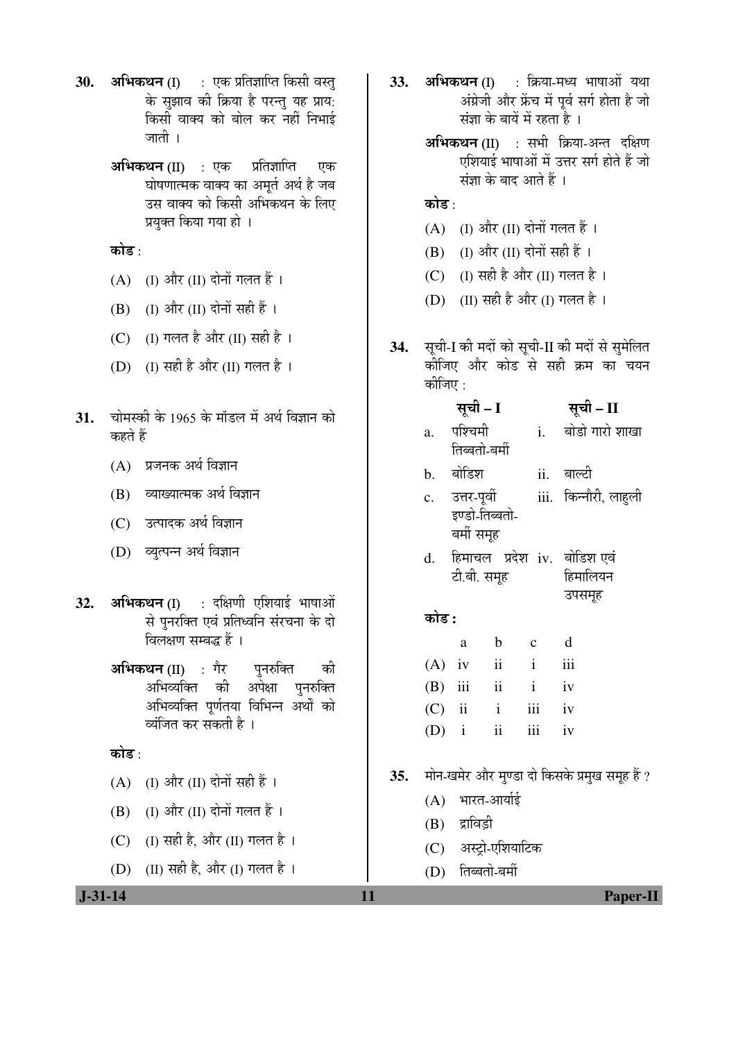- **30. अभिकथन** (I) : एक प्रतिज्ञाप्ति किसी वस्त् के सुझाव की क्रिया है परन्तु यह प्राय: किसी वाक्य को बोल कर नहीं निभाई जाती ।
	- **अभिकथन (II) : ए**क प्रतिज्ञाप्ति एक घोषणात्मक वाक्य का अमर्त अर्थ है जब उस वाक्य को किसी अभिकथन के लिए प्रयुक्त किया गया हो ।

कोड $\cdot$ 

- $(A)$  (I) और (II) दोनों गलत हैं।
- $(B)$  (I) और (II) दोनों सही हैं ।
- (C) (I) गलत है और (II) सही है ।
- (D) (I) सही है और (II) गलत है ।
- 31. चोमस्की के 1965 के मॉडल में अर्थ विज्ञान को कहते हैं
	- $(A)$  प्रजनक अर्थ विज्ञान
	- (B) व्याख्यात्मक अर्थ विज्ञान
	- (C) उत्पादक अर्थ विज्ञान
	- (D) व्युत्पन्न अर्थ विज्ञान
- 32. अभिकथन (I) : दक्षिणी एशियाई भाषाओं से पुनरक्ति एवं प्रतिध्वनि संरचना के दो विलक्षण सम्बद्ध हैं ।
	- **अभिकथन (II)** : गैर पनरुक्ति की अभिव्यक्ति को अपेक्षा पुनरुक्ति अभिव्यक्ति पूर्णतया विभिन्न अर्थों को व्यंजित कर सकती है ।

कोड़ $\cdot$ 

- $(A)$  (I) और (II) दोनों सही हैं ।
- $(B)$  (I) और (II) दोनों गलत हैं ।
- $(C)$  (I) सही है, और (II) गलत है ।
- (D) (II) सही है, और (I) गलत है।
- 33. **अभिकथन** (I) : क्रिया-मध्य भाषाओं यथा अंग्रेजी और फ्रेंच में पूर्व सर्ग होता है जो संज्ञा के बायें में रहता है ।
	- $\overline{\mathbf{a}}$ भिकथन (II) : सभी क्रिया-अन्त दक्षिण एशियाई भाषाओं में उत्तर सर्ग होते हैं जो संज्ञा के बाद आते हैं ।

## कोड :

- $(A)$  (I) और (II) दोनों गलत हैं।
- $(B)$  (I) और (II) दोनों सही हैं ।
- (C) (I) सही है और (II) गलत है ।
- (D) (II) सही है और (I) गलत है ।
- 34. सूची-I की मदों को सूची-II की मदों से सुमेलित कीजिए और कोड से सही क्रम का चयन कीजिए $\cdot$

|    | सूची – I      |     | सूची – II      |
|----|---------------|-----|----------------|
| a. | पश्चिमी       |     | बोडो गारो शाखा |
|    | तिब्बतो-बर्मी |     |                |
| b. | बोडिश         | ii. | बाल्टी         |

- c. उत्तर-पूर्वी इण्डो-तिब्बतो-बर्मी समूह iii. किन्नौरी, लाहली
- d. हिमाचल प्रदेश iv. बोडिश*प्*वं टी.बी. समह हिमालियन उपसमह

## कोड़ **:**

|  | a                  | b c | d |
|--|--------------------|-----|---|
|  | $(A)$ iv ii i iii  |     |   |
|  | $(B)$ iii ii iv    |     |   |
|  | $(C)$ ii ii iii iv |     |   |
|  | $(D)$ i ii iii iv  |     |   |

- 35. मोन-खमेर और मण्डा दो किसके प्रमुख समूह हैं ?
	- $(A)$  भारत-आर्याई
	- $(B)$  द्राविड़ी
	- (C) अस्ट्रो-एशियाटिक
	- $(D)$  तिब्बतो-बर्मी

 **J-31-14 11 Paper-II**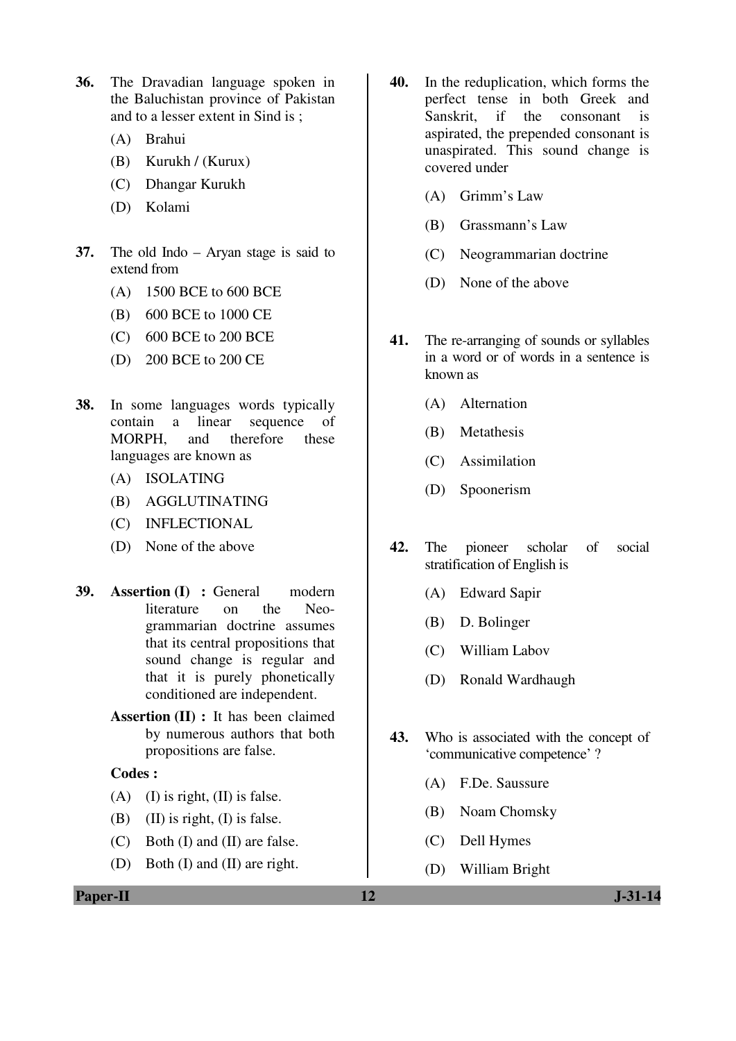- **36.** The Dravadian language spoken in the Baluchistan province of Pakistan and to a lesser extent in Sind is ;
	- (A) Brahui
	- (B) Kurukh / (Kurux)
	- (C) Dhangar Kurukh
	- (D) Kolami
- **37.** The old Indo Aryan stage is said to extend from
	- (A) 1500 BCE to 600 BCE
	- (B) 600 BCE to 1000 CE
	- (C) 600 BCE to 200 BCE
	- (D) 200 BCE to 200 CE
- **38.** In some languages words typically contain a linear sequence of MORPH, and therefore these languages are known as
	- (A) ISOLATING
	- (B) AGGLUTINATING
	- (C) INFLECTIONAL
	- (D) None of the above
- **39. Assertion (I) :** General modern literature on the Neogrammarian doctrine assumes that its central propositions that sound change is regular and that it is purely phonetically conditioned are independent.
	- **Assertion (II) :** It has been claimed by numerous authors that both propositions are false.

- (A) (I) is right,  $(II)$  is false.
- (B) (II) is right, (I) is false.
- (C) Both (I) and (II) are false.
- (D) Both (I) and (II) are right.
- **40.** In the reduplication, which forms the perfect tense in both Greek and Sanskrit, if the consonant is aspirated, the prepended consonant is unaspirated. This sound change is covered under
	- (A) Grimm's Law
	- (B) Grassmann's Law
	- (C) Neogrammarian doctrine
	- (D) None of the above
- **41.** The re-arranging of sounds or syllables in a word or of words in a sentence is known as
	- (A) Alternation
	- (B) Metathesis
	- (C) Assimilation
	- (D) Spoonerism
- **42.** The pioneer scholar of social stratification of English is
	- (A) Edward Sapir
	- (B) D. Bolinger
	- (C) William Labov
	- (D) Ronald Wardhaugh
- **43.** Who is associated with the concept of 'communicative competence' ?
	- (A) F.De. Saussure
	- (B) Noam Chomsky
	- (C) Dell Hymes
	- (D) William Bright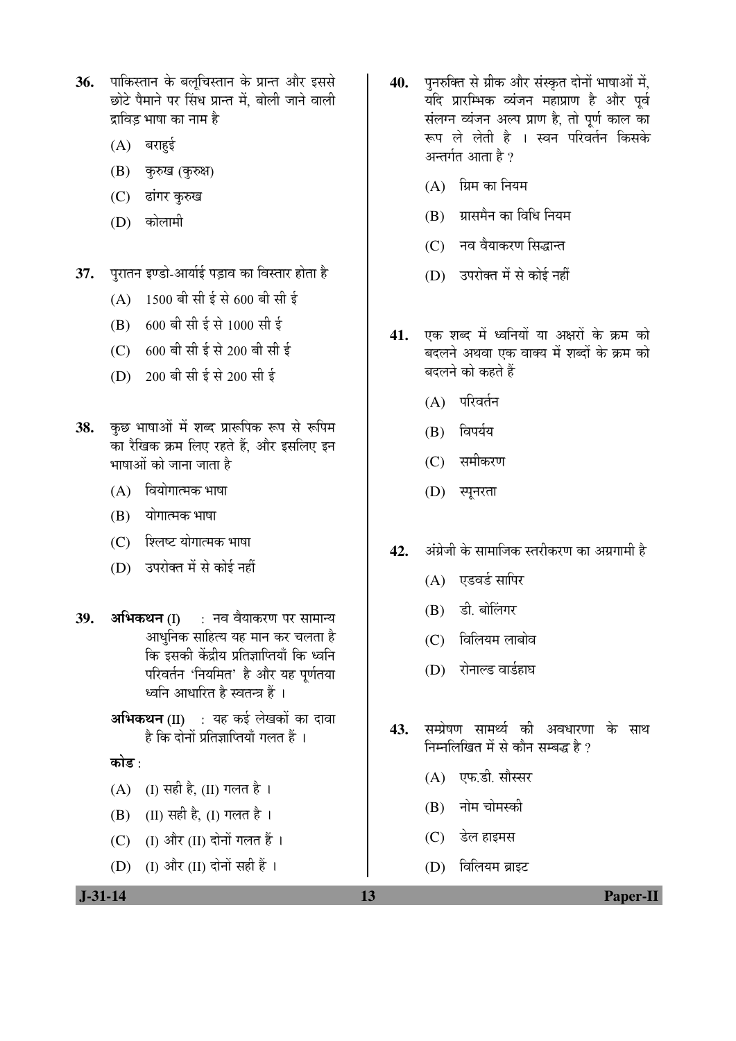- 36. पाकिस्तान के बलचिस्तान के प्रान्त और इससे छोटे पैमाने पर सिंध प्रान्त में, बोली जाने वाली दाविद भाषा का नाम है।
	- $(A)$  बराहुई
	- (B) कुरुख (कुरुक्ष)
	- (C) ढांगर कुरुख
	- (D) कोलामी
- **37.** पुरातन इण्डो-आर्याई पड़ाव का विस्तार होता है
	- $(A)$  1500 बी सी ई से 600 बी सी ई
	- $(B)$  600 बी सी ई से 1000 सी ई
	- $(C)$  600 बी सी ई से 200 बी सी ई
	- (D) 200 बी सी ई से 200 सी ई
- 38. कुछ भाषाओं में शब्द प्रारूपिक रूप से रूपिम का रैखिक क्रम लिए रहते हैं, और इसलिए इन भाषाओं को जाना जाता है
	- $(A)$  वियोगात्मक भाषा
	- (B) योगात्मक भाषा
	- (C) शिलष्ट योगात्मक भाषा
	- (D) उपरोक्त में से कोई नहीं
- **39. अभिकथन (I) : नव वैयाकरण पर सामान्य** आधुनिक साहित्य यह मान कर चलता है कि इसकी केंद्रीय प्रतिज्ञाप्तियाँ कि ध्वनि परिवर्तन 'नियमित' है और यह पर्णतया ध्वनि आधारित है स्वतन्त्र हैं ।
	- अभिकथन (II) : यह कई लेखकों का दावा है कि दोनों प्रतिज्ञाप्तियाँ गलत हैं ।
	- कोड :
	- (A) (I) सही है, (II) गलत है ।
	- $(B)$  (II) सही है, (I) गलत है ।
	- (C)  $\left( \mathrm{I}\right)$  और  $\left( \mathrm{II}\right)$  दोनों गलत हैं।
	- (D) (I) और (II) दोनों सही हैं ।
- 40. पुनरुक्ति से ग्रीक और संस्कृत दोनों भाषाओं में, यदि प्रारम्भिक व्यंजन महाप्राण है और पूर्व संलग्न व्यंजन अल्प प्राण है, तो पूर्ण काल का रूप ले लेती है । स्वन परिवर्तन किसके अन्तर्गत आता है ?
	- $(A)$  ग्रिम का नियम
	- (B) ग्रासमैन का विधि नियम
	- (C) नव वैयाकरण सिद्धान्त
	- (D) उपरोक्त में से कोई नहीं
- 41. एक शब्द में ध्वनियों या अक्षरों के क्रम को बदलने अथवा एक वाक्य में शब्दों के क्रम को बदलने को कहते हैं
	- $(A)$  परिवर्तन
	- $(B)$  au $\Phi$
	- (C) समीकरण
	- (D) स्पूनरता
- **42.** अंग्रेजी के सामाजिक स्तरीकरण का अग्रगामी है
	- $(A)$  एडवर्ड सापिर
	- (B) डी. बोलिंगर
	- (C) विलियम लाबोव
	- (D) रोनाल्ड वार्डहाघ
- 43. सम्प्रेषण सामर्थ्य की अवधारणा के साथ निम्नलिखित में से कौन सम्बद्ध है ?
	- (A) एफ.डी. सौस्सर
	- (B) नोम चोमस्की
	- (C) डेल हाइमस
	- $(D)$  विलियम ब्राइट

 **J-31-14 13 Paper-II**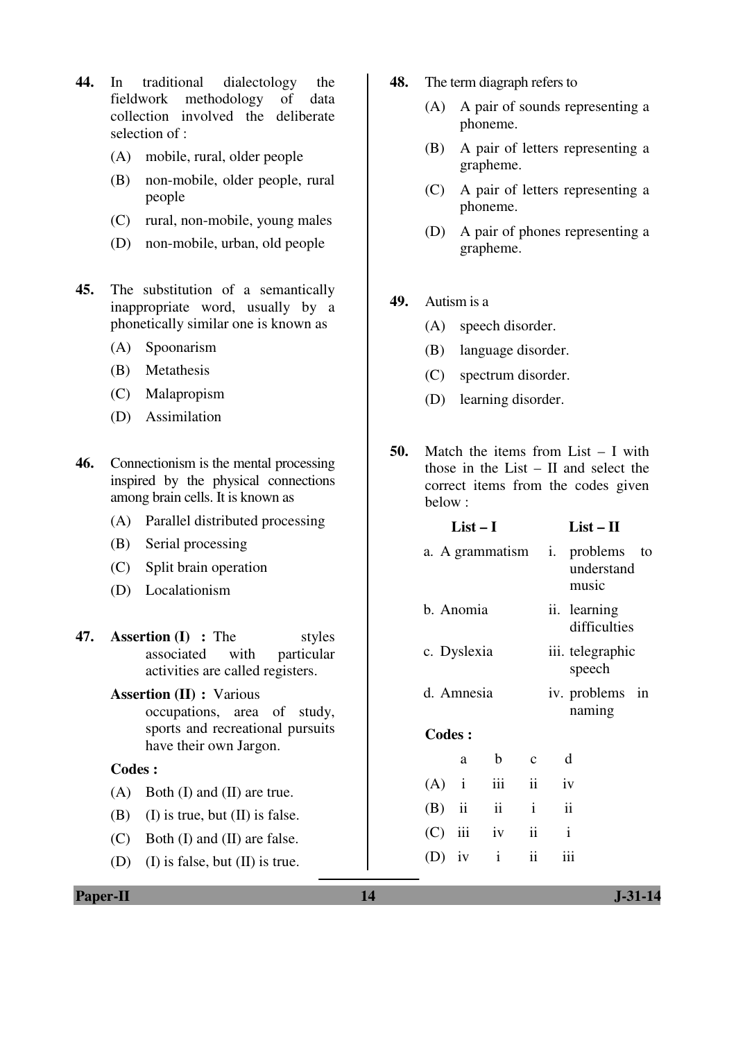- **44.** In traditional dialectology the fieldwork methodology of data collection involved the deliberate selection of :
	- (A) mobile, rural, older people
	- (B) non-mobile, older people, rural people
	- (C) rural, non-mobile, young males
	- (D) non-mobile, urban, old people
- **45.** The substitution of a semantically inappropriate word, usually by a phonetically similar one is known as
	- (A) Spoonarism
	- (B) Metathesis
	- (C) Malapropism
	- (D) Assimilation
- **46.** Connectionism is the mental processing inspired by the physical connections among brain cells. It is known as
	- (A) Parallel distributed processing
	- (B) Serial processing
	- (C) Split brain operation
	- (D) Localationism
- **47. Assertion (I) :** The styles associated with particular activities are called registers.
	- **Assertion (II) :** Various occupations, area of study, sports and recreational pursuits have their own Jargon.

- (A) Both (I) and (II) are true.
- (B) (I) is true, but  $(II)$  is false.
- (C) Both (I) and (II) are false.
- (D) (I) is false, but (II) is true.
- **48.** The term diagraph refers to
	- (A) A pair of sounds representing a phoneme.
	- (B) A pair of letters representing a grapheme.
	- (C) A pair of letters representing a phoneme.
	- (D) A pair of phones representing a grapheme.
- **49.** Autism is a
	- (A) speech disorder.
	- (B) language disorder.
	- (C) spectrum disorder.
	- (D) learning disorder.
- **50.** Match the items from List I with those in the List – II and select the correct items from the codes given below :

|               | $List-I$           |                     |                     | $List - II$                  |                                    |  |
|---------------|--------------------|---------------------|---------------------|------------------------------|------------------------------------|--|
|               | a. A grammatism i. |                     |                     |                              | problems to<br>understand<br>music |  |
|               | b. Anomia          |                     |                     | ii. learning<br>difficulties |                                    |  |
|               | c. Dyslexia        |                     |                     |                              | iii. telegraphic<br>speech         |  |
|               | d. Amnesia         |                     |                     | iv. problems in<br>naming    |                                    |  |
| <b>Codes:</b> |                    |                     |                     |                              |                                    |  |
|               | a                  | $\mathbf b$         | $\mathbf{c}$        |                              | d                                  |  |
| $(A)$ i       |                    | iii                 |                     | ii iv                        |                                    |  |
| $(B)$ ii      |                    | $\ddot{\mathbf{i}}$ | $\mathbf{i}$        |                              | $\ddot{\rm ii}$                    |  |
|               | $(C)$ iii          | iv                  | $\ddot{\rm ii}$     |                              | $\mathbf{i}$                       |  |
| $(D)$ iv      |                    | $\mathbf{i}$        | $\ddot{\mathbf{i}}$ |                              | iii                                |  |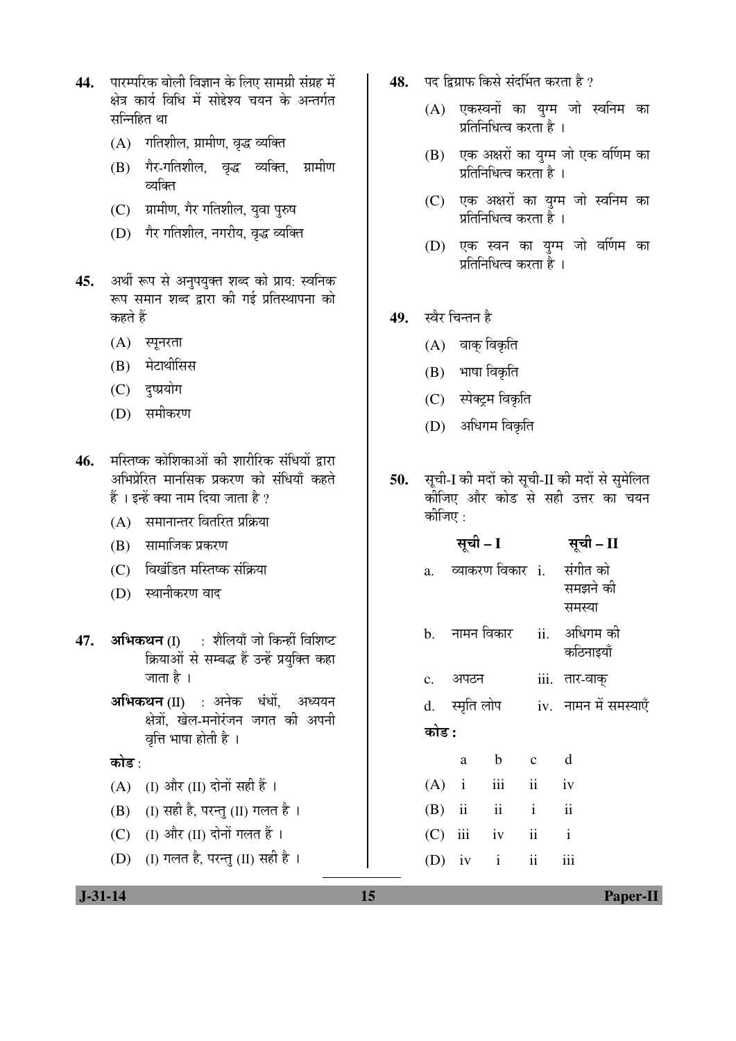- 44. ÞUTHR<del>a selden barnar vir öldu verinden vir s</del> क्षेत्र कार्य विधि में सोद्देश्य चयन के अन्तर्गत सन्निहित था
	- (A) गतिशील, ग्रामीण, वृद्ध व्यक्ति
	- (B) गैर-गतिशील, वृद्ध व्यक्ति, ग्रामीण व्यक्ति
	- (C) प्रामीण, गैर गतिशील, युवा पुरुष
	- (D) गैर गतिशील, नगरीय, वृद्ध व्यक्ति
- 45. अर्थी रूप से अनुपयुक्त शब्द को प्राय: स्वनिक रूप समान शब्द द्वारा की गई प्रतिस्थापना को कहते हैं
	- $(A)$  स्पूनरता
	- (B) मेटाथीसिस
	- (C) दुष्प्रयोग
	- (D) समीकरण
- 46. मस्तिष्क कोशिकाओं की शारीरिक संधियों द्रारा अभिप्रेरित मानसिक प्रकरण को संधियाँ कहते  $\ddot{\tilde{\epsilon}}$  । इन्हें क्या नाम दिया जाता है ?
	- $(A)$  समानान्तर वितरित प्रक्रिया
	- $(B)$  सामाजिक प्रकरण
	- (C) विखंडित मस्तिष्क संक्रिया
	- (D) स्थानीकरण वाद
- **47. अभिकथन** (I) : शैलियाँ जो किन्हीं विशिष्ट क्रियाओं से सम्बद्ध हैं उन्हें प्रयुक्ति कहा जाता है ।
	- **अभिकथन (II)** : अनेक धंधों, अध्ययन क्षेत्रों, खेल-मनोरंजन जगत की अपनी वत्ति भाषा होती है ।

कोड :

- $(A)$  (I) और (II) दोनों सही हैं ।
- (B) (I) सही है, परन्तु (II) गलत है।
- (C) (I) और (II) दोनों गलत हैं ।
- (D) (I) गलत है, परन्तु (II) सही है ।
- 48. पद द्विग्राफ किसे संदर्भित करता है ?
	- $(A)$  एकस्वनों का यग्म जो स्वनिम का प्रतिनिधित्व करता है ।
	- (B) एक अक्षरों का युग्म जो एक वर्णिम का प्रतिनिधित्व करता है ।
	- (C) एक अक्षरों का युग्म जो स्वनिम का प्रतिनिधित्व करता है ।
	- (D) एक स्वन का युग्म जो वर्णिम का प्रतिनिधित्व करता है ।
- 49. स्वैर चिन्तन है
	- (A) वाक् विकृति
	- $(B)$  भाषा विकृति
	- (C) स्पेक्ट्रम विकृति
	- (D) अधिगम विकृति
- 50. सूची-I की मदों को सूची-II की मदों से सुमेलित कीजिए और कोड से सही उत्तर का चयन कीजिए :

|       | सूची – I          |       | सूची – II                                          |
|-------|-------------------|-------|----------------------------------------------------|
|       |                   |       | a. व्याकरण विकार i. संगीत को<br>समझने की<br>समस्या |
|       |                   |       | b. नामन विकार   ii.   अधिगम की<br>कठिनाइयाँ        |
|       | c. अपठन           |       | iii. तार-वाक्                                      |
|       |                   |       | d. स्मृति लोप iv. नामन में समस्याएँ                |
| कोड : |                   |       |                                                    |
|       | $\mathbf{b}$<br>a | $c$ d |                                                    |
|       | $(A)$ i iii ii iv |       |                                                    |
|       | $(B)$ ii ii ii    |       |                                                    |
|       | $(C)$ iii iv ii   |       | $\mathbf{i}$                                       |
|       | (D) iv $i$ ii     |       | iii                                                |